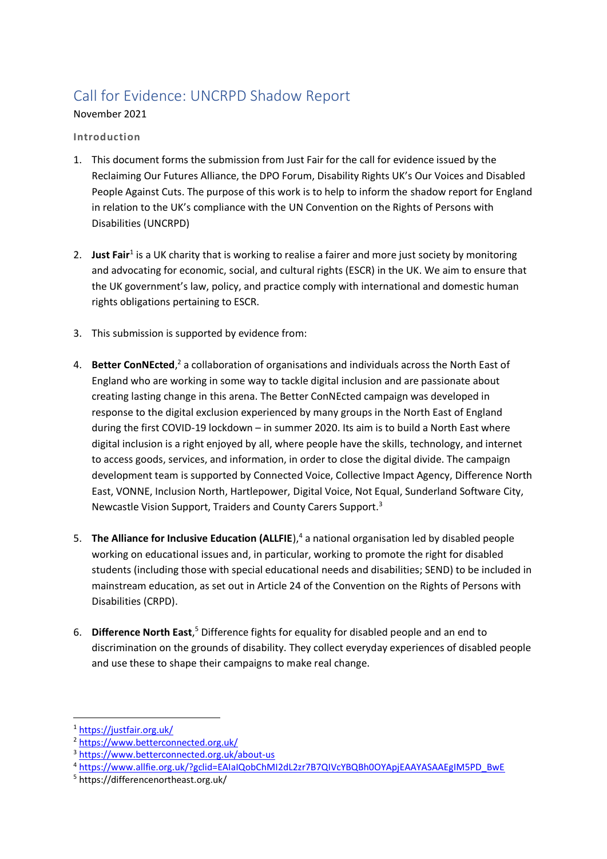# Call for Evidence: UNCRPD Shadow Report

November 2021

## **Introduction**

- 1. This document forms the submission from Just Fair for the call for evidence issued by the Reclaiming Our Futures Alliance, the DPO Forum, Disability Rights UK's Our Voices and Disabled People Against Cuts. The purpose of this work is to help to inform the shadow report for England in relation to the UK's compliance with the [UN Convention on the Rights of Persons with](https://www.un.org/development/desa/disabilities/convention-on-the-rights-of-persons-with-disabilities.html)  [Disabilities \(](https://www.un.org/development/desa/disabilities/convention-on-the-rights-of-persons-with-disabilities.html)UNCRPD)
- 2. **Just Fair**<sup>1</sup> is a UK charity that is working to realise a fairer and more just society by monitoring and advocating for economic, social, and cultural rights (ESCR) in the UK. We aim to ensure that the UK government's law, policy, and practice comply with international and domestic human rights obligations pertaining to ESCR.
- 3. This submission is supported by evidence from:
- 4. Better ConNEcted,<sup>2</sup> a collaboration of organisations and individuals across the North East of England who are working in some way to tackle digital inclusion and are passionate about creating lasting change in this arena. The Better ConNEcted campaign was developed in response to the digital exclusion experienced by many groups in the North East of England during the first COVID-19 lockdown – in summer 2020. Its aim is to build a North East where digital inclusion is a right enjoyed by all, where people have the skills, technology, and internet to access goods, services, and information, in order to close the digital divide. The campaign development team is supported by Connected Voice, Collective Impact Agency, Difference North East, VONNE, Inclusion North, Hartlepower, Digital Voice, Not Equal, Sunderland Software City, Newcastle Vision Support, Traiders and County Carers Support. 3
- 5. The Alliance for Inclusive Education (ALLFIE),<sup>4</sup> a national organisation led by disabled people working on educational issues and, in particular, working to promote the right for disabled students (including those with special educational needs and disabilities; SEND) to be included in mainstream education, as set out in Article 24 of the Convention on the Rights of Persons with Disabilities (CRPD).
- 6. Difference North East,<sup>5</sup> Difference fights for equality for disabled people and an end to discrimination on the grounds of disability. They collect everyday experiences of disabled people and use these to shape their campaigns to make real change.

<sup>1</sup> <https://justfair.org.uk/>

<sup>2</sup> <https://www.betterconnected.org.uk/>

<sup>3</sup> <https://www.betterconnected.org.uk/about-us>

<sup>4</sup> [https://www.allfie.org.uk/?gclid=EAIaIQobChMI2dL2zr7B7QIVcYBQBh0OYApjEAAYASAAEgIM5PD\\_BwE](https://www.allfie.org.uk/?gclid=EAIaIQobChMI2dL2zr7B7QIVcYBQBh0OYApjEAAYASAAEgIM5PD_BwE)

<sup>5</sup> https://differencenortheast.org.uk/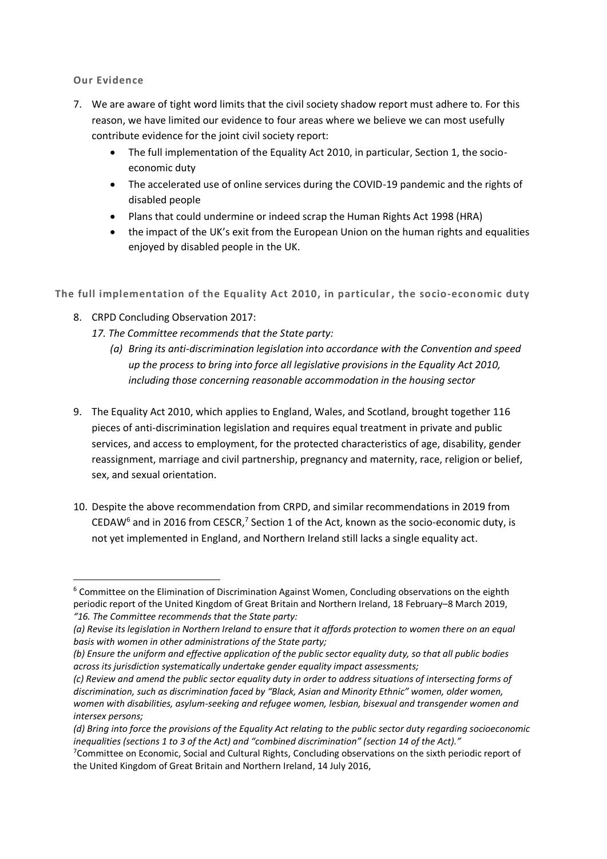**Our Evidence**

- 7. We are aware of tight word limits that the civil society shadow report must adhere to. For this reason, we have limited our evidence to four areas where we believe we can most usefully contribute evidence for the joint civil society report:
	- The full implementation of the Equality Act 2010, in particular, Section 1, the socioeconomic duty
	- The accelerated use of online services during the COVID-19 pandemic and the rights of disabled people
	- Plans that could undermine or indeed scrap the Human Rights Act 1998 (HRA)
	- the impact of the UK's exit from the European Union on the human rights and equalities enjoyed by disabled people in the UK.

**The full implementation of the Equality Act 2010, in particular, the socio-economic duty**

- 8. CRPD Concluding Observation 2017:
	- *17. The Committee recommends that the State party:*
		- *(a) Bring its anti-discrimination legislation into accordance with the Convention and speed up the process to bring into force all legislative provisions in the Equality Act 2010, including those concerning reasonable accommodation in the housing sector*
- 9. The Equality Act 2010, which applies to England, Wales, and Scotland, brought together 116 pieces of anti-discrimination legislation and requires equal treatment in private and public services, and access to employment, for the protected characteristics of age, disability, gender reassignment, marriage and civil partnership, pregnancy and maternity, race, religion or belief, sex, and sexual orientation.
- 10. Despite the above recommendation from CRPD, and similar recommendations in 2019 from CEDAW<sup>6</sup> and in 2016 from CESCR,<sup>7</sup> Section 1 of the Act, known as the socio-economic duty, is not yet implemented in England, and Northern Ireland still lacks a single equality act.

<sup>6</sup> Committee on the Elimination of Discrimination Against Women, Concluding observations on the eighth periodic report of the United Kingdom of Great Britain and Northern Ireland, 18 February–8 March 2019, *"16. The Committee recommends that the State party:*

*<sup>(</sup>a) Revise its legislation in Northern Ireland to ensure that it affords protection to women there on an equal basis with women in other administrations of the State party;*

*<sup>(</sup>b) Ensure the uniform and effective application of the public sector equality duty, so that all public bodies across its jurisdiction systematically undertake gender equality impact assessments;*

*<sup>(</sup>c) Review and amend the public sector equality duty in order to address situations of intersecting forms of discrimination, such as discrimination faced by "Black, Asian and Minority Ethnic" women, older women, women with disabilities, asylum-seeking and refugee women, lesbian, bisexual and transgender women and intersex persons;*

*<sup>(</sup>d) Bring into force the provisions of the Equality Act relating to the public sector duty regarding socioeconomic inequalities (sections 1 to 3 of the Act) and "combined discrimination" (section 14 of the Act)."*

<sup>7</sup>Committee on Economic, Social and Cultural Rights, Concluding observations on the sixth periodic report of the United Kingdom of Great Britain and Northern Ireland, 14 July 2016,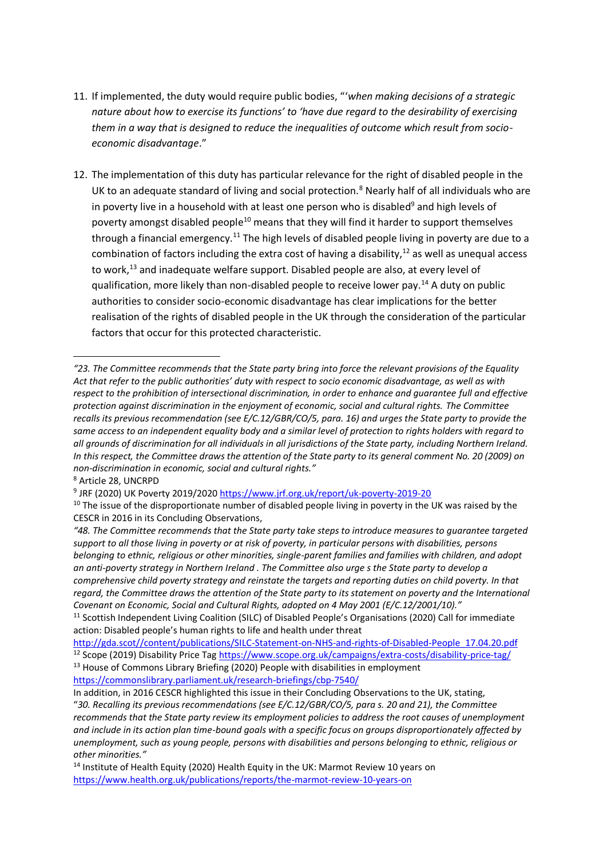- 11. If implemented, the duty would require public bodies, "'*when making decisions of a strategic nature about how to exercise its functions' to 'have due regard to the desirability of exercising them in a way that is designed to reduce the inequalities of outcome which result from socioeconomic disadvantage*."
- 12. The implementation of this duty has particular relevance for the right of disabled people in the UK to an adequate standard of living and social protection.<sup>8</sup> Nearly half of all individuals who are in poverty live in a household with at least one person who is disabled<sup>9</sup> and high levels of poverty amongst disabled people<sup>10</sup> means that they will find it harder to support themselves through a financial emergency.<sup>11</sup> The high levels of disabled people living in poverty are due to a combination of factors including the extra cost of having a disability, $12$  as well as unequal access to work, <sup>13</sup> and inadequate welfare support. Disabled people are also, at every level of qualification, more likely than non-disabled people to receive lower pay.<sup>14</sup> A duty on public authorities to consider socio-economic disadvantage has clear implications for the better realisation of the rights of disabled people in the UK through the consideration of the particular factors that occur for this protected characteristic.

*<sup>&</sup>quot;23. The Committee recommends that the State party bring into force the relevant provisions of the Equality Act that refer to the public authorities' duty with respect to socio economic disadvantage, as well as with respect to the prohibition of intersectional discrimination, in order to enhance and guarantee full and effective protection against discrimination in the enjoyment of economic, social and cultural rights. The Committee recalls its previous recommendation (see E/C.12/GBR/CO/5, para. 16) and urges the State party to provide the same access to an independent equality body and a similar level of protection to rights holders with regard to all grounds of discrimination for all individuals in all jurisdictions of the State party, including Northern Ireland. In this respect, the Committee draws the attention of the State party to its general comment No. 20 (2009) on non-discrimination in economic, social and cultural rights."*

<sup>8</sup> Article 28, UNCRPD

<sup>&</sup>lt;sup>9</sup> JRF (2020) UK Poverty 2019/2020 <u>https://www.jrf.org.uk/report/uk-poverty-2019-20</u>

 $10$  The issue of the disproportionate number of disabled people living in poverty in the UK was raised by the CESCR in 2016 in its Concluding Observations,

*<sup>&</sup>quot;48. The Committee recommends that the State party take steps to introduce measures to guarantee targeted support to all those living in poverty or at risk of poverty, in particular persons with disabilities, persons belonging to ethnic, religious or other minorities, single-parent families and families with children, and adopt an anti-poverty strategy in Northern Ireland . The Committee also urge s the State party to develop a comprehensive child poverty strategy and reinstate the targets and reporting duties on child poverty. In that regard, the Committee draws the attention of the State party to its statement on poverty and the International Covenant on Economic, Social and Cultural Rights, adopted on 4 May 2001 (E/C.12/2001/10)."*

<sup>&</sup>lt;sup>11</sup> Scottish Independent Living Coalition (SILC) of Disabled People's Organisations (2020) Call for immediate action: Disabled people's human rights to life and health under threat

[http://gda.scot//content/publications/SILC-Statement-on-NHS-and-rights-of-Disabled-People\\_17.04.20.pdf](http://gda.scot/content/publications/SILC-Statement-on-NHS-and-rights-of-Disabled-People_17.04.20.pdf) <sup>12</sup> Scope (2019) Disability Price Ta[g https://www.scope.org.uk/campaigns/extra-costs/disability-price-tag/](https://www.scope.org.uk/campaigns/extra-costs/disability-price-tag/)

 $13$  House of Commons Library Briefing (2020) People with disabilities in employment <https://commonslibrary.parliament.uk/research-briefings/cbp-7540/>

In addition, in 2016 CESCR highlighted this issue in their Concluding Observations to the UK, stating, "*30. Recalling its previous recommendations (see E/C.12/GBR/CO/5, para s. 20 and 21), the Committee recommends that the State party review its employment policies to address the root causes of unemployment and include in its action plan time-bound goals with a specific focus on groups disproportionately affected by unemployment, such as young people, persons with disabilities and persons belonging to ethnic, religious or other minorities."*

<sup>&</sup>lt;sup>14</sup> Institute of Health Equity (2020) Health Equity in the UK: Marmot Review 10 years on <https://www.health.org.uk/publications/reports/the-marmot-review-10-years-on>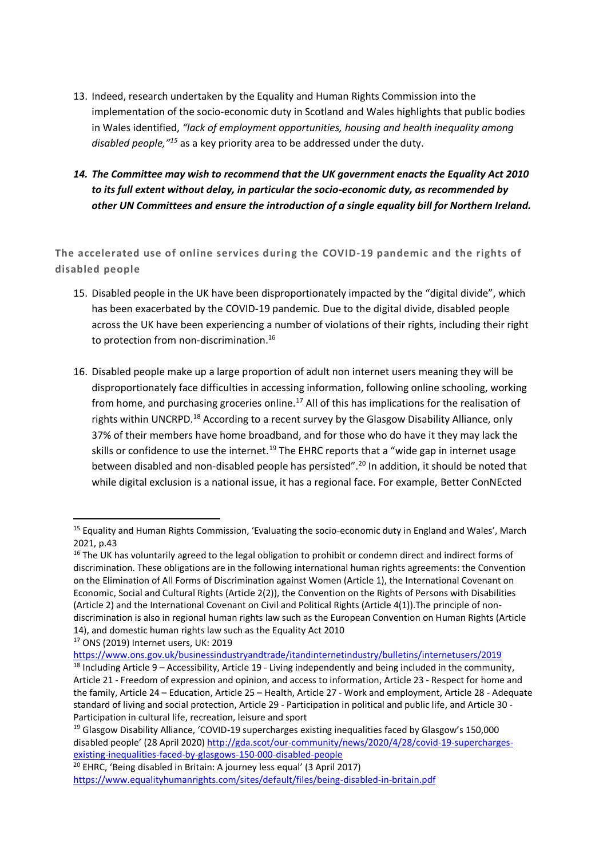- 13. Indeed, research undertaken by the Equality and Human Rights Commission into the implementation of the socio-economic duty in Scotland and Wales highlights that public bodies in Wales identified, *"lack of employment opportunities, housing and health inequality among disabled people,"<sup>15</sup>* as a key priority area to be addressed under the duty.
- *14. The Committee may wish to recommend that the UK government enacts the Equality Act 2010 to its full extent without delay, in particular the socio-economic duty, as recommended by other UN Committees and ensure the introduction of a single equality bill for Northern Ireland.*

**The accelerated use of online services during the COVID-19 pandemic and the rights of disabled people**

- 15. Disabled people in the UK have been disproportionately impacted by the "digital divide", which has been exacerbated by the COVID-19 pandemic. Due to the digital divide, disabled people across the UK have been experiencing a number of violations of their rights, including their right to protection from non-discrimination. 16
- 16. Disabled people make up a large proportion of adult non internet users meaning they will be disproportionately face difficulties in accessing information, following online schooling, working from home, and purchasing groceries online.<sup>17</sup> All of this has implications for the realisation of rights within UNCRPD.<sup>18</sup> According to a recent survey by the Glasgow Disability Alliance, only 37% of their members have home broadband, and for those who do have it they may lack the skills or confidence to use the internet.<sup>19</sup> The EHRC reports that a "wide gap in internet usage between disabled and non-disabled people has persisted".<sup>20</sup> In addition, it should be noted that while digital exclusion is a national issue, it has a regional face. For example, Better ConNEcted

<sup>&</sup>lt;sup>15</sup> Equality and Human Rights Commission, 'Evaluating the socio-economic duty in England and Wales', March 2021, p.43

<sup>&</sup>lt;sup>16</sup> The UK has voluntarily agreed to the legal obligation to prohibit or condemn direct and indirect forms of discrimination. These obligations are in the following international human rights agreements: the Convention on the Elimination of All Forms of Discrimination against Women (Article 1), the International Covenant on Economic, Social and Cultural Rights (Article 2(2)), the Convention on the Rights of Persons with Disabilities (Article 2) and the International Covenant on Civil and Political Rights (Article 4(1)).The principle of nondiscrimination is also in regional human rights law such as the European Convention on Human Rights (Article 14), and domestic human rights law such as the Equality Act 2010

<sup>17</sup> ONS (2019) Internet users, UK: 2019

<https://www.ons.gov.uk/businessindustryandtrade/itandinternetindustry/bulletins/internetusers/2019>

 $18$  Including Article 9 – Accessibility, Article 19 - Living independently and being included in the community, Article 21 - Freedom of expression and opinion, and access to information, Article 23 - Respect for home and the family, Article 24 – Education, Article 25 – Health, Article 27 - Work and employment, Article 28 - Adequate standard of living and social protection, Article 29 - Participation in political and public life, and Article 30 - Participation in cultural life, recreation, leisure and sport

<sup>&</sup>lt;sup>19</sup> Glasgow Disability Alliance, 'COVID-19 supercharges existing inequalities faced by Glasgow's 150,000 disabled people' (28 April 2020) [http://gda.scot/our-community/news/2020/4/28/covid-19-supercharges](http://gda.scot/our-community/news/2020/4/28/covid-19-supercharges-existing-inequalities-faced-by-glasgows-150-000-disabled-people)[existing-inequalities-faced-by-glasgows-150-000-disabled-people](http://gda.scot/our-community/news/2020/4/28/covid-19-supercharges-existing-inequalities-faced-by-glasgows-150-000-disabled-people)

<sup>&</sup>lt;sup>20</sup> EHRC, 'Being disabled in Britain: A journey less equal' (3 April 2017) <https://www.equalityhumanrights.com/sites/default/files/being-disabled-in-britain.pdf>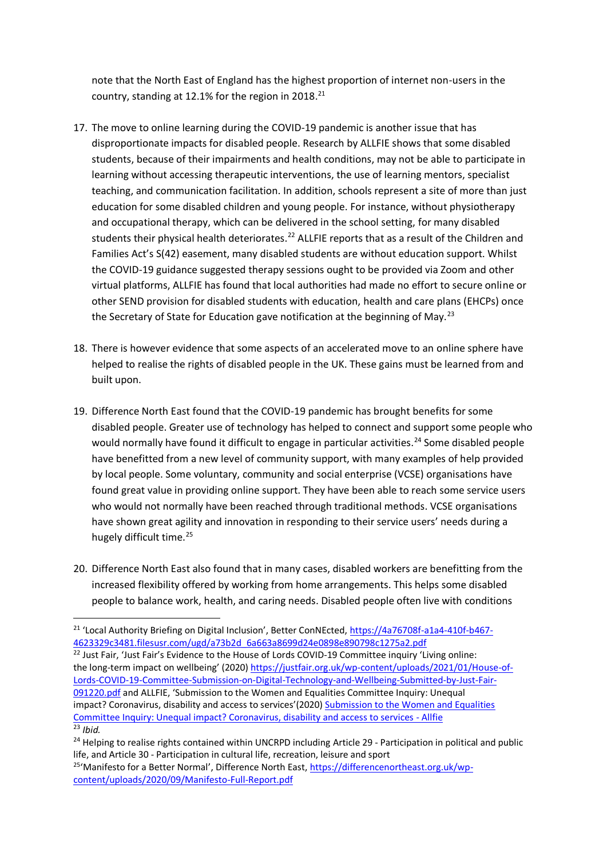note that the North East of England has the highest proportion of internet non-users in the country, standing at 12.1% for the region in 2018.<sup>21</sup>

- 17. The move to online learning during the COVID-19 pandemic is another issue that has disproportionate impacts for disabled people. Research by ALLFIE shows that some disabled students, because of their impairments and health conditions, may not be able to participate in learning without accessing therapeutic interventions, the use of learning mentors, specialist teaching, and communication facilitation. In addition, schools represent a site of more than just education for some disabled children and young people. For instance, without physiotherapy and occupational therapy, which can be delivered in the school setting, for many disabled students their physical health deteriorates.<sup>22</sup> ALLFIE reports that as a result of the Children and Families Act's S(42) easement, many disabled students are without education support. Whilst the COVID-19 guidance suggested therapy sessions ought to be provided via Zoom and other virtual platforms, ALLFIE has found that local authorities had made no effort to secure online or other SEND provision for disabled students with education, health and care plans (EHCPs) once the Secretary of State for Education gave notification at the beginning of May.<sup>23</sup>
- 18. There is however evidence that some aspects of an accelerated move to an online sphere have helped to realise the rights of disabled people in the UK. These gains must be learned from and built upon.
- 19. Difference North East found that the COVID-19 pandemic has brought benefits for some disabled people. Greater use of technology has helped to connect and support some people who would normally have found it difficult to engage in particular activities.<sup>24</sup> Some disabled people have benefitted from a new level of community support, with many examples of help provided by local people. Some voluntary, community and social enterprise (VCSE) organisations have found great value in providing online support. They have been able to reach some service users who would not normally have been reached through traditional methods. VCSE organisations have shown great agility and innovation in responding to their service users' needs during a hugely difficult time.<sup>25</sup>
- 20. Difference North East also found that in many cases, disabled workers are benefitting from the increased flexibility offered by working from home arrangements. This helps some disabled people to balance work, health, and caring needs. Disabled people often live with conditions

<sup>&</sup>lt;sup>21</sup> 'Local Authority Briefing on Digital Inclusion', Better ConNEcted, [https://4a76708f-a1a4-410f-b467-](https://4a76708f-a1a4-410f-b467-4623329c3481.filesusr.com/ugd/a73b2d_6a663a8699d24e0898e890798c1275a2.pdf) [4623329c3481.filesusr.com/ugd/a73b2d\\_6a663a8699d24e0898e890798c1275a2.pdf](https://4a76708f-a1a4-410f-b467-4623329c3481.filesusr.com/ugd/a73b2d_6a663a8699d24e0898e890798c1275a2.pdf)

 $22$  Just Fair, 'Just Fair's Evidence to the House of Lords COVID-19 Committee inquiry 'Living online: the long-term impact on wellbeing' (2020) [https://justfair.org.uk/wp-content/uploads/2021/01/House-of-](https://justfair.org.uk/wp-content/uploads/2021/01/House-of-Lords-COVID-19-Committee-Submission-on-Digital-Technology-and-Wellbeing-Submitted-by-Just-Fair-091220.pdf)[Lords-COVID-19-Committee-Submission-on-Digital-Technology-and-Wellbeing-Submitted-by-Just-Fair-](https://justfair.org.uk/wp-content/uploads/2021/01/House-of-Lords-COVID-19-Committee-Submission-on-Digital-Technology-and-Wellbeing-Submitted-by-Just-Fair-091220.pdf)[091220.pdf](https://justfair.org.uk/wp-content/uploads/2021/01/House-of-Lords-COVID-19-Committee-Submission-on-Digital-Technology-and-Wellbeing-Submitted-by-Just-Fair-091220.pdf) and ALLFIE, 'Submission to the Women and Equalities Committee Inquiry: Unequal impact? Coronavirus, disability and access to services'(2020) Submission to the Women and Equalities [Committee Inquiry: Unequal impact? Coronavirus, disability and access to services -](https://www.allfie.org.uk/news/briefings/submission-to-the-women-and-equalities-committee-unequal-impact-coronavirus-disability-and-access-to-services/#Introduction) Allfie <sup>23</sup> *Ibid.* 

<sup>&</sup>lt;sup>24</sup> Helping to realise rights contained within UNCRPD including Article 29 - Participation in political and public life, and Article 30 - Participation in cultural life, recreation, leisure and sport <sup>25</sup>'Manifesto for a Better Normal', Difference North East, [https://differencenortheast.org.uk/wp](https://differencenortheast.org.uk/wp-content/uploads/2020/09/Manifesto-Full-Report.pdf)[content/uploads/2020/09/Manifesto-Full-Report.pdf](https://differencenortheast.org.uk/wp-content/uploads/2020/09/Manifesto-Full-Report.pdf)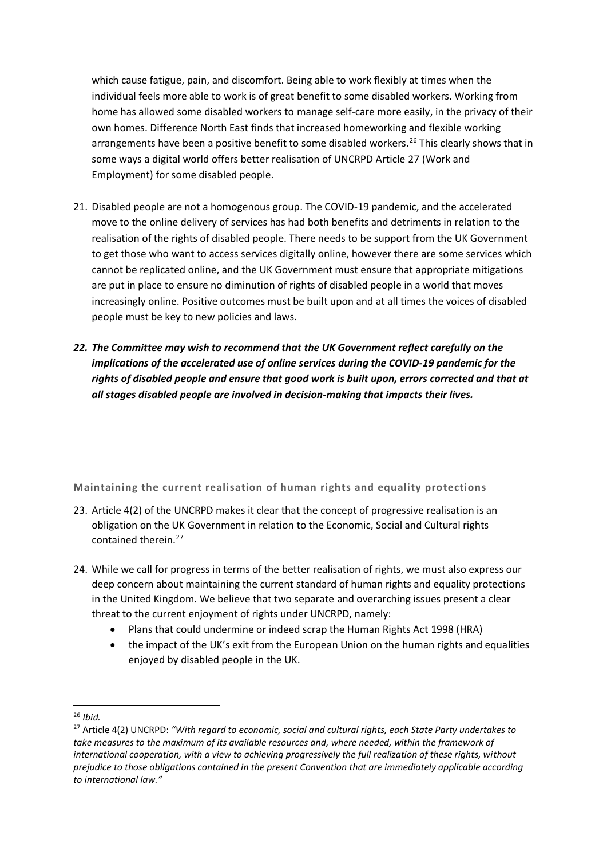which cause fatigue, pain, and discomfort. Being able to work flexibly at times when the individual feels more able to work is of great benefit to some disabled workers. Working from home has allowed some disabled workers to manage self-care more easily, in the privacy of their own homes. Difference North East finds that increased homeworking and flexible working arrangements have been a positive benefit to some disabled workers.<sup>26</sup> This clearly shows that in some ways a digital world offers better realisation of UNCRPD Article 27 (Work and Employment) for some disabled people.

- 21. Disabled people are not a homogenous group. The COVID-19 pandemic, and the accelerated move to the online delivery of services has had both benefits and detriments in relation to the realisation of the rights of disabled people. There needs to be support from the UK Government to get those who want to access services digitally online, however there are some services which cannot be replicated online, and the UK Government must ensure that appropriate mitigations are put in place to ensure no diminution of rights of disabled people in a world that moves increasingly online. Positive outcomes must be built upon and at all times the voices of disabled people must be key to new policies and laws.
- *22. The Committee may wish to recommend that the UK Government reflect carefully on the implications of the accelerated use of online services during the COVID-19 pandemic for the rights of disabled people and ensure that good work is built upon, errors corrected and that at all stages disabled people are involved in decision-making that impacts their lives.*

## **Maintaining the current realisation of human rights and equality protections**

- 23. Article 4(2) of the UNCRPD makes it clear that the concept of progressive realisation is an obligation on the UK Government in relation to the Economic, Social and Cultural rights contained therein.<sup>27</sup>
- 24. While we call for progress in terms of the better realisation of rights, we must also express our deep concern about maintaining the current standard of human rights and equality protections in the United Kingdom. We believe that two separate and overarching issues present a clear threat to the current enjoyment of rights under UNCRPD, namely:
	- Plans that could undermine or indeed scrap the Human Rights Act 1998 (HRA)
	- the impact of the UK's exit from the European Union on the human rights and equalities enjoyed by disabled people in the UK.

<sup>26</sup> *Ibid.* 

<sup>27</sup> Article 4(2) UNCRPD: *"With regard to economic, social and cultural rights, each State Party undertakes to take measures to the maximum of its available resources and, where needed, within the framework of international cooperation, with a view to achieving progressively the full realization of these rights, without prejudice to those obligations contained in the present Convention that are immediately applicable according to international law."*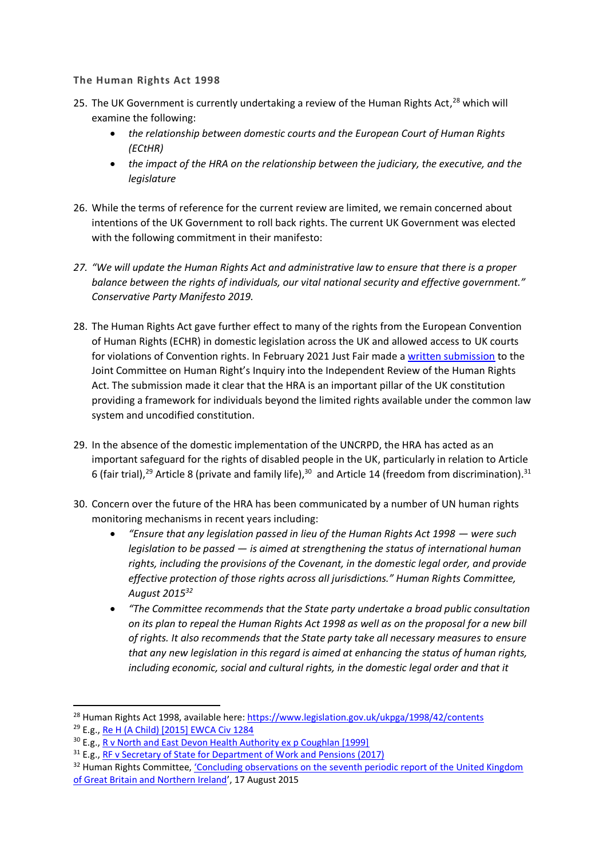### **The Human Rights Act 1998**

- 25. The UK Government is currently undertaking a review of the Human Rights Act,<sup>28</sup> which will examine the following:
	- *the relationship between domestic courts and the European Court of Human Rights (ECtHR)*
	- *the impact of the HRA on the relationship between the judiciary, the executive, and the legislature*
- 26. While the terms of reference for the current review are limited, we remain concerned about intentions of the UK Government to roll back rights. The current UK Government was elected with the following commitment in their manifesto:
- *27. "We will update the Human Rights Act and administrative law to ensure that there is a proper balance between the rights of individuals, our vital national security and effective government." Conservative Party Manifesto 2019.*
- 28. The Human Rights Act gave further effect to many of the rights from the European Convention of Human Rights (ECHR) in domestic legislation across the UK and allowed access to UK courts for violations of Convention rights. In February 2021 Just Fair made a [written submission](https://justfair.org.uk/wp-content/uploads/2021/02/JCHRHRAEvidence.pdf) to the Joint Committee on Human Right's Inquiry into the Independent Review of the Human Rights Act. The submission made it clear that the HRA is an important pillar of the UK constitution providing a framework for individuals beyond the limited rights available under the common law system and uncodified constitution.
- 29. In the absence of the domestic implementation of the UNCRPD, the HRA has acted as an important safeguard for the rights of disabled people in the UK, particularly in relation to Article 6 (fair trial),<sup>29</sup> Article 8 (private and family life),<sup>30</sup> and Article 14 (freedom from discrimination).<sup>31</sup>
- 30. Concern over the future of the HRA has been communicated by a number of UN human rights monitoring mechanisms in recent years including:
	- *"Ensure that any legislation passed in lieu of the Human Rights Act 1998 — were such legislation to be passed — is aimed at strengthening the status of international human rights, including the provisions of the Covenant, in the domestic legal order, and provide effective protection of those rights across all jurisdictions." Human Rights Committee, August 2015<sup>32</sup>*
	- *"The Committee recommends that the State party undertake a broad public consultation on its plan to repeal the Human Rights Act 1998 as well as on the proposal for a new bill of rights. It also recommends that the State party take all necessary measures to ensure that any new legislation in this regard is aimed at enhancing the status of human rights,*  including economic, social and cultural rights, in the domestic legal order and that it

<sup>&</sup>lt;sup>28</sup> Human Rights Act 1998, available here[: https://www.legislation.gov.uk/ukpga/1998/42/contents](https://www.legislation.gov.uk/ukpga/1998/42/contents)

<sup>29</sup> E.g., [Re H \(A Child\) \[2015\] EWCA Civ 1284](https://www.familylawweek.co.uk/site.aspx?i=ed152873)

<sup>&</sup>lt;sup>30</sup> E.g.[, R v North and East Devon Health Authority ex p Coughlan \[1999\]](http://www.bailii.org/ew/cases/EWCA/Civ/1999/1871.html)

<sup>&</sup>lt;sup>31</sup> E.g.[, RF v Secretary of State for Department of Work and Pensions \(2017\)](http://www.bailii.org/ew/cases/EWHC/Admin/2017/3375.html)

<sup>&</sup>lt;sup>32</sup> Human Rights Committee, 'Concluding observations on the seventh periodic report of the United Kingdom [of Great Britain and Northern Ireland](Human%20Rights%20Committee)', 17 August 2015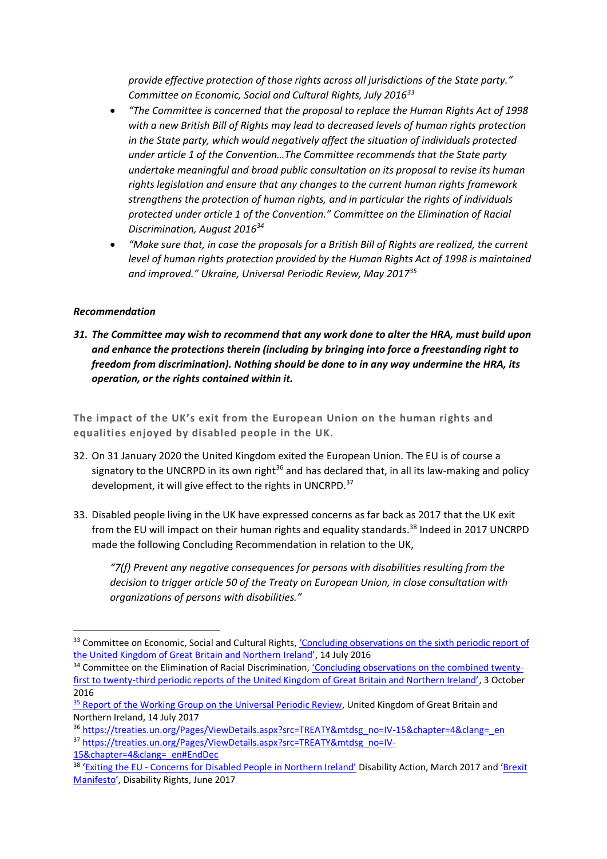*provide effective protection of those rights across all jurisdictions of the State party." Committee on Economic, Social and Cultural Rights, July 2016<sup>33</sup>*

- *"The Committee is concerned that the proposal to replace the Human Rights Act of 1998 with a new British Bill of Rights may lead to decreased levels of human rights protection in the State party, which would negatively affect the situation of individuals protected under article 1 of the Convention…The Committee recommends that the State party undertake meaningful and broad public consultation on its proposal to revise its human rights legislation and ensure that any changes to the current human rights framework strengthens the protection of human rights, and in particular the rights of individuals protected under article 1 of the Convention." Committee on the Elimination of Racial Discrimination, August 2016<sup>34</sup>*
- *"Make sure that, in case the proposals for a British Bill of Rights are realized, the current level of human rights protection provided by the Human Rights Act of 1998 is maintained and improved." Ukraine, Universal Periodic Review, May 2017<sup>35</sup>*

## *Recommendation*

*31. The Committee may wish to recommend that any work done to alter the HRA, must build upon and enhance the protections therein (including by bringing into force a freestanding right to freedom from discrimination). Nothing should be done to in any way undermine the HRA, its operation, or the rights contained within it.* 

**The impact of the UK's exit from the European Union on the human rights and equalities enjoyed by disabled people in the UK.**

- 32. On 31 January 2020 the United Kingdom exited the European Union. The EU is of course a signatory to the UNCRPD in its own right<sup>36</sup> and has declared that, in all its law-making and policy development, it will give effect to the rights in UNCRPD.<sup>37</sup>
- 33. Disabled people living in the UK have expressed concerns as far back as 2017 that the UK exit from the EU will impact on their human rights and equality standards.<sup>38</sup> Indeed in 2017 UNCRPD made the following Concluding Recommendation in relation to the UK,

*"7(f) Prevent any negative consequences for persons with disabilities resulting from the decision to trigger article 50 of the Treaty on European Union, in close consultation with organizations of persons with disabilities."*

<sup>&</sup>lt;sup>33</sup> Committee on Economic, Social and Cultural Rights, 'Concluding observations on the sixth periodic report of [the United Kingdom of Great Britain and Northern Ireland'](Committee%20on%20Economic,%20Social%20and%20Cultural%20Rights), 14 July 2016

<sup>&</sup>lt;sup>34</sup> Committee on the Elimination of Racial Discrimination, ['Concluding observations on the combined twenty](https://tbinternet.ohchr.org/_layouts/15/treatybodyexternal/Download.aspx?symbolno=CERD%2fC%2fGBR%2fCO%2f21-23&Lang=en)first to twenty-third periodic [reports of the United Kingdom of Great Britain and Northern Ireland'](https://tbinternet.ohchr.org/_layouts/15/treatybodyexternal/Download.aspx?symbolno=CERD%2fC%2fGBR%2fCO%2f21-23&Lang=en), 3 October 2016

<sup>&</sup>lt;sup>35</sup> [Report of the Working Group on the Universal Periodic Review,](https://documents-dds-ny.un.org/doc/UNDOC/GEN/G17/192/15/PDF/G1719215.pdf?OpenElement) United Kingdom of Great Britain and Northern Ireland, 14 July 2017

<sup>36</sup> [https://treaties.un.org/Pages/ViewDetails.aspx?src=TREATY&mtdsg\\_no=IV-15&chapter=4&clang=\\_en](https://treaties.un.org/Pages/ViewDetails.aspx?src=TREATY&mtdsg_no=IV-15&chapter=4&clang=_en) 37 [https://treaties.un.org/Pages/ViewDetails.aspx?src=TREATY&mtdsg\\_no=IV-](https://treaties.un.org/Pages/ViewDetails.aspx?src=TREATY&mtdsg_no=IV-15&chapter=4&clang=_en#EndDec)

[<sup>15&</sup>amp;chapter=4&clang=\\_en#EndDec](https://treaties.un.org/Pages/ViewDetails.aspx?src=TREATY&mtdsg_no=IV-15&chapter=4&clang=_en#EndDec)

<sup>&</sup>lt;sup>38</sup> 'Exiting the EU - [Concerns for Disabled People in Northern Ireland'](https://www.disabilityaction.org/Handlers/Download.ashx?IDMF=3cc41f78-c96a-411a-ae20-2bb0034d864a) Disability Action, March 2017 and 'Brexit [Manifesto](https://www.disabilityrightsuk.org/brexit-manifesto)', Disability Rights, June 2017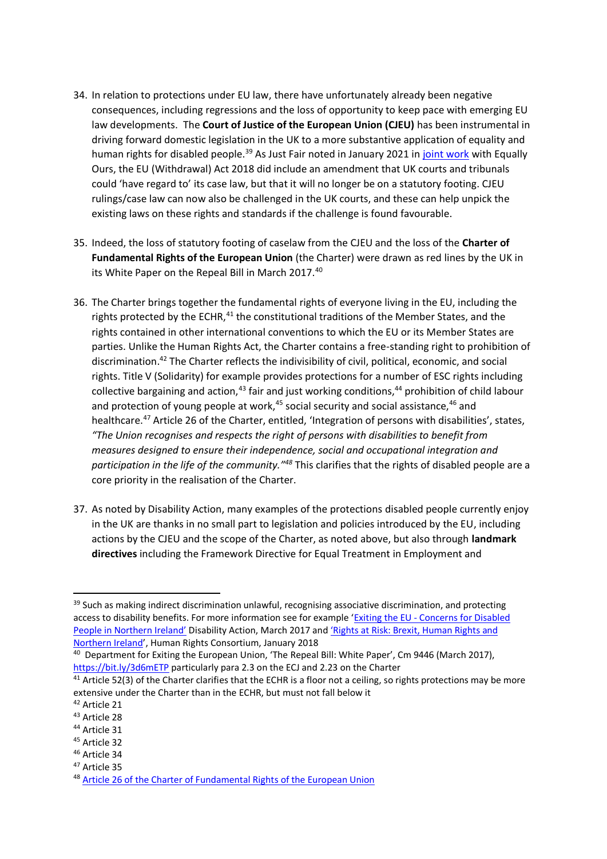- 34. In relation to protections under EU law, there have unfortunately already been negative consequences, including regressions and the loss of opportunity to keep pace with emerging EU law developments. The **Court of Justice of the European Union (CJEU)** has been instrumental in driving forward domestic legislation in the UK to a more substantive application of equality and human rights for disabled people.<sup>39</sup> As Just Fair noted in January 2021 in *joint work* with Equally Ours, the EU (Withdrawal) Act 2018 did include an amendment that UK courts and tribunals could 'have regard to' its case law, but that it will no longer be on a statutory footing. CJEU rulings/case law can now also be challenged in the UK courts, and these can help unpick the existing laws on these rights and standards if the challenge is found favourable.
- 35. Indeed, the loss of statutory footing of caselaw from the CJEU and the loss of the **Charter of Fundamental Rights of the European Union** (the Charter) were drawn as red lines by the UK in its White Paper on the Repeal Bill in March 2017.<sup>40</sup>
- 36. The Charter brings together the fundamental rights of everyone living in the EU, including the rights protected by the ECHR, $^{41}$  the constitutional traditions of the Member States, and the rights contained in other international conventions to which the EU or its Member States are parties. Unlike the Human Rights Act, the Charter contains a free-standing right to prohibition of discrimination. <sup>42</sup> The Charter reflects the indivisibility of civil, political, economic, and social rights. Title V (Solidarity) for example provides protections for a number of ESC rights including collective bargaining and action,  $43$  fair and just working conditions,  $44$  prohibition of child labour and protection of young people at work, $45$  social security and social assistance, $46$  and healthcare.<sup>47</sup> Article 26 of the Charter, entitled, 'Integration of persons with disabilities', states, *"The Union recognises and respects the right of persons with disabilities to benefit from measures designed to ensure their independence, social and occupational integration and*  participation in the life of the community.<sup>"48</sup> This clarifies that the rights of disabled people are a core priority in the realisation of the Charter.
- 37. As noted by Disability Action, many examples of the protections disabled people currently enjoy in the UK are thanks in no small part to legislation and policies introduced by the EU, including actions by the CJEU and the scope of the Charter, as noted above, but also through **landmark directives** including the Framework Directive for Equal Treatment in Employment and

<sup>&</sup>lt;sup>39</sup> Such as making indirect discrimination unlawful, recognising associative discrimination, and protecting access to disability benefits. For more information see for example 'Exiting the EU - Concerns for Disabled [People in Northern Ireland'](https://www.disabilityaction.org/Handlers/Download.ashx?IDMF=3cc41f78-c96a-411a-ae20-2bb0034d864a) Disability Action, March 2017 and 'Rights at Risk: Brex[it, Human Rights and](http://www.humanrightsconsortium.org/wp-content/uploads/2018/01/RIGHTS-AT-RISK-Final.pdf)  [Northern Ireland](http://www.humanrightsconsortium.org/wp-content/uploads/2018/01/RIGHTS-AT-RISK-Final.pdf)', Human Rights Consortium, January 2018

<sup>&</sup>lt;sup>40</sup> Department for Exiting the European Union, 'The Repeal Bill: White Paper', Cm 9446 (March 2017), <https://bit.ly/3d6mETP> particularly para 2.3 on the ECJ and 2.23 on the Charter

<sup>&</sup>lt;sup>41</sup> Article 52(3) of the Charter clarifies that the ECHR is a floor not a ceiling, so rights protections may be more extensive under the Charter than in the ECHR, but must not fall below it

<sup>42</sup> Article 21

<sup>43</sup> Article 28

<sup>44</sup> Article 31

<sup>45</sup> Article 32

<sup>46</sup> Article 34 <sup>47</sup> Article 35

<sup>48</sup> [Article 26 of the Charter of Fundamental Rights of the European Union](https://eur-lex.europa.eu/legal-content/EN/TXT/?uri=CELEX:12012P/TXT)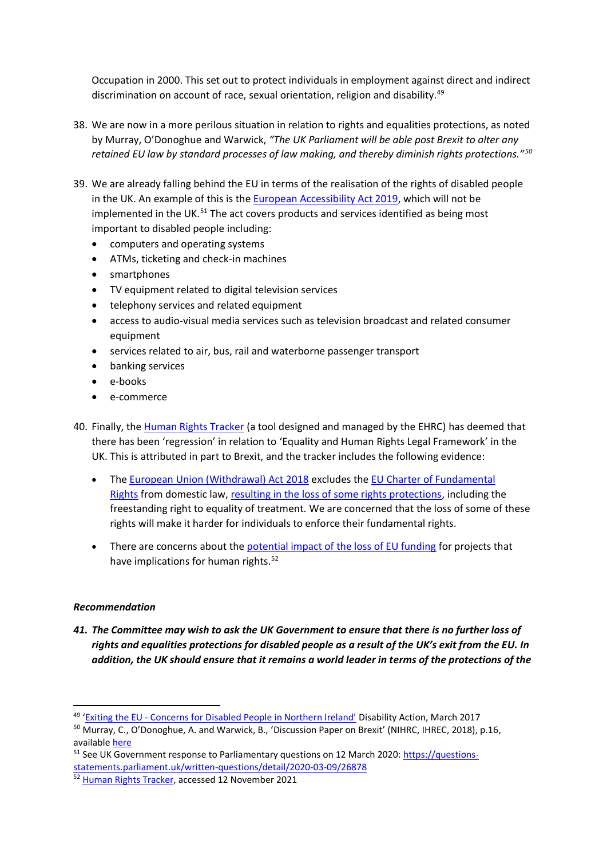Occupation in 2000. This set out to protect individuals in employment against direct and indirect discrimination on account of race, sexual orientation, religion and disability.<sup>49</sup>

- 38. We are now in a more perilous situation in relation to rights and equalities protections, as noted by Murray, O'Donoghue and Warwick, *"The UK Parliament will be able post Brexit to alter any retained EU law by standard processes of law making, and thereby diminish rights protections."<sup>50</sup>*
- 39. We are already falling behind the EU in terms of the realisation of the rights of disabled people in the UK. An example of this is th[e European Accessibility Act 2019,](https://eur-lex.europa.eu/legal-content/EN/TXT/?uri=CELEX%3A32019L0882) which will not be implemented in the UK.<sup>51</sup> The act covers products and services identified as being most important to disabled people including:
	- computers and operating systems
	- ATMs, ticketing and check-in machines
	- smartphones
	- TV equipment related to digital television services
	- telephony services and related equipment
	- access to audio-visual media services such as television broadcast and related consumer equipment
	- services related to air, bus, rail and waterborne passenger transport
	- banking services
	- e-books
	- e-commerce
- 40. Finally, the [Human Rights Tracker](https://humanrightstracker.com/en/) (a tool designed and managed by the EHRC) has deemed that there has been 'regression' in relation to 'Equality and Human Rights Legal Framework' in the UK. This is attributed in part to Brexit, and the tracker includes the following evidence:
	- The [European Union \(Withdrawal\) Act 2018](https://www.legislation.gov.uk/ukpga/2018/16/enacted/data.pdf) excludes the EU Charter of Fundamental [Rights](https://eur-lex.europa.eu/legal-content/EN/TXT/?uri=CELEX:12012P/TXT) from domestic law, [resulting in the loss of some rights protections,](https://www.equalityhumanrights.com/sites/default/files/eu-withdrawal-bill-legal-advice-jason-coppel-qc.pdf) including the freestanding right to equality of treatment. We are concerned that the loss of some of these rights will make it harder for individuals to enforce their fundamental rights.
	- There are concerns about the [potential impact of the loss of EU funding](https://www.equalityhumanrights.com/en/publication-download/future-funding-equality-and-human-rights-britain) for projects that have implications for human rights.<sup>52</sup>

#### *Recommendation*

*41. The Committee may wish to ask the UK Government to ensure that there is no further loss of rights and equalities protections for disabled people as a result of the UK's exit from the EU. In addition, the UK should ensure that it remains a world leader in terms of the protections of the* 

<sup>&</sup>lt;sup>49</sup> 'Exiting the EU - [Concerns for Disabled People in Northern Ireland'](https://www.disabilityaction.org/Handlers/Download.ashx?IDMF=3cc41f78-c96a-411a-ae20-2bb0034d864a) Disability Action, March 2017

<sup>50</sup> Murray, C., O'Donoghue, A. and Warwick, B., 'Discussion Paper on Brexit' (NIHRC, IHREC, 2018), p.16, availabl[e here](https://www.ihrec.ie/app/uploads/2018/03/Discussion-Paper-on-Brexit.pdf)

<sup>51</sup> See UK Government response to Parliamentary questions on 12 March 2020[: https://questions](https://questions-statements.parliament.uk/written-questions/detail/2020-03-09/26878)[statements.parliament.uk/written-questions/detail/2020-03-09/26878](https://questions-statements.parliament.uk/written-questions/detail/2020-03-09/26878)

<sup>52</sup> [Human Rights Tracker,](https://humanrightstracker.com/en/progress-assessment/equality-and-human-rights-legal-framework-uk-government-assessment/) accessed 12 November 2021